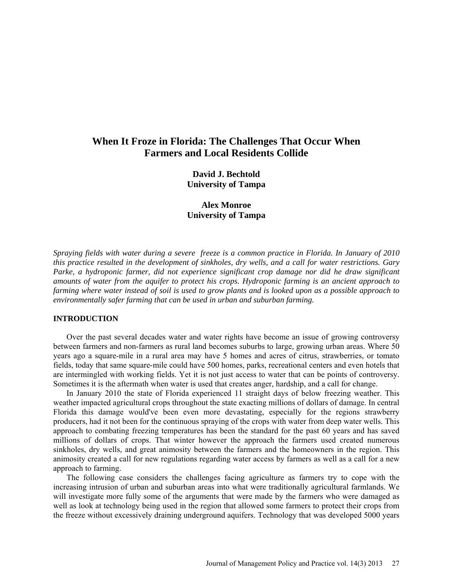# **When It Froze in Florida: The Challenges That Occur When Farmers and Local Residents Collide**

**David J. Bechtold University of Tampa**

**Alex Monroe University of Tampa**

*Spraying fields with water during a severe freeze is a common practice in Florida. In January of 2010 this practice resulted in the development of sinkholes, dry wells, and a call for water restrictions. Gary Parke, a hydroponic farmer, did not experience significant crop damage nor did he draw significant amounts of water from the aquifer to protect his crops. Hydroponic farming is an ancient approach to farming where water instead of soil is used to grow plants and is looked upon as a possible approach to environmentally safer farming that can be used in urban and suburban farming.*

## **INTRODUCTION**

Over the past several decades water and water rights have become an issue of growing controversy between farmers and non-farmers as rural land becomes suburbs to large, growing urban areas. Where 50 years ago a square-mile in a rural area may have 5 homes and acres of citrus, strawberries, or tomato fields, today that same square-mile could have 500 homes, parks, recreational centers and even hotels that are intermingled with working fields. Yet it is not just access to water that can be points of controversy. Sometimes it is the aftermath when water is used that creates anger, hardship, and a call for change.

In January 2010 the state of Florida experienced 11 straight days of below freezing weather. This weather impacted agricultural crops throughout the state exacting millions of dollars of damage. In central Florida this damage would've been even more devastating, especially for the regions strawberry producers, had it not been for the continuous spraying of the crops with water from deep water wells. This approach to combating freezing temperatures has been the standard for the past 60 years and has saved millions of dollars of crops. That winter however the approach the farmers used created numerous sinkholes, dry wells, and great animosity between the farmers and the homeowners in the region. This animosity created a call for new regulations regarding water access by farmers as well as a call for a new approach to farming.

The following case considers the challenges facing agriculture as farmers try to cope with the increasing intrusion of urban and suburban areas into what were traditionally agricultural farmlands. We will investigate more fully some of the arguments that were made by the farmers who were damaged as well as look at technology being used in the region that allowed some farmers to protect their crops from the freeze without excessively draining underground aquifers. Technology that was developed 5000 years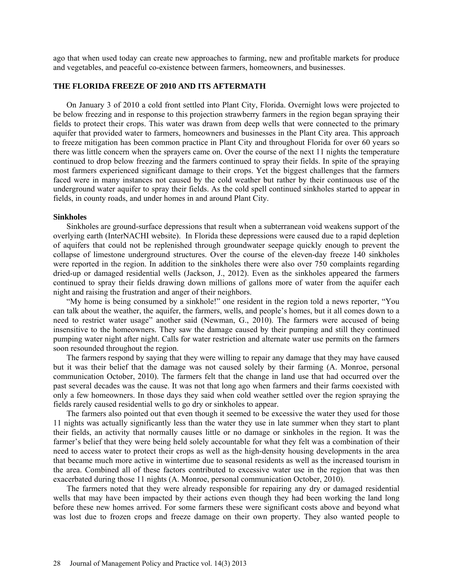ago that when used today can create new approaches to farming, new and profitable markets for produce and vegetables, and peaceful co-existence between farmers, homeowners, and businesses.

## **THE FLORIDA FREEZE OF 2010 AND ITS AFTERMATH**

On January 3 of 2010 a cold front settled into Plant City, Florida. Overnight lows were projected to be below freezing and in response to this projection strawberry farmers in the region began spraying their fields to protect their crops. This water was drawn from deep wells that were connected to the primary aquifer that provided water to farmers, homeowners and businesses in the Plant City area. This approach to freeze mitigation has been common practice in Plant City and throughout Florida for over 60 years so there was little concern when the sprayers came on. Over the course of the next 11 nights the temperature continued to drop below freezing and the farmers continued to spray their fields. In spite of the spraying most farmers experienced significant damage to their crops. Yet the biggest challenges that the farmers faced were in many instances not caused by the cold weather but rather by their continuous use of the underground water aquifer to spray their fields. As the cold spell continued sinkholes started to appear in fields, in county roads, and under homes in and around Plant City.

## **Sinkholes**

Sinkholes are ground-surface depressions that result when a subterranean void weakens support of the overlying earth (InterNACHI website). In Florida these depressions were caused due to a rapid depletion of aquifers that could not be replenished through groundwater seepage quickly enough to prevent the collapse of limestone underground structures. Over the course of the eleven-day freeze 140 sinkholes were reported in the region. In addition to the sinkholes there were also over 750 complaints regarding dried-up or damaged residential wells (Jackson, J., 2012). Even as the sinkholes appeared the farmers continued to spray their fields drawing down millions of gallons more of water from the aquifer each night and raising the frustration and anger of their neighbors.

"My home is being consumed by a sinkhole!" one resident in the region told a news reporter, "You can talk about the weather, the aquifer, the farmers, wells, and people's homes, but it all comes down to a need to restrict water usage" another said (Newman, G., 2010). The farmers were accused of being insensitive to the homeowners. They saw the damage caused by their pumping and still they continued pumping water night after night. Calls for water restriction and alternate water use permits on the farmers soon resounded throughout the region.

The farmers respond by saying that they were willing to repair any damage that they may have caused but it was their belief that the damage was not caused solely by their farming (A. Monroe, personal communication October, 2010). The farmers felt that the change in land use that had occurred over the past several decades was the cause. It was not that long ago when farmers and their farms coexisted with only a few homeowners. In those days they said when cold weather settled over the region spraying the fields rarely caused residential wells to go dry or sinkholes to appear.

The farmers also pointed out that even though it seemed to be excessive the water they used for those 11 nights was actually significantly less than the water they use in late summer when they start to plant their fields, an activity that normally causes little or no damage or sinkholes in the region. It was the farmer's belief that they were being held solely accountable for what they felt was a combination of their need to access water to protect their crops as well as the high-density housing developments in the area that became much more active in wintertime due to seasonal residents as well as the increased tourism in the area. Combined all of these factors contributed to excessive water use in the region that was then exacerbated during those 11 nights (A. Monroe, personal communication October, 2010).

The farmers noted that they were already responsible for repairing any dry or damaged residential wells that may have been impacted by their actions even though they had been working the land long before these new homes arrived. For some farmers these were significant costs above and beyond what was lost due to frozen crops and freeze damage on their own property. They also wanted people to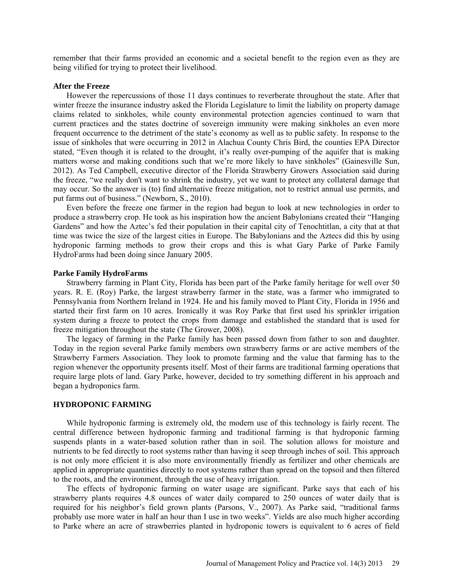remember that their farms provided an economic and a societal benefit to the region even as they are being vilified for trying to protect their livelihood.

## **After the Freeze**

However the repercussions of those 11 days continues to reverberate throughout the state. After that winter freeze the insurance industry asked the Florida Legislature to limit the liability on property damage claims related to sinkholes, while county environmental protection agencies continued to warn that current practices and the states doctrine of sovereign immunity were making sinkholes an even more frequent occurrence to the detriment of the state's economy as well as to public safety. In response to the issue of sinkholes that were occurring in 2012 in Alachua County Chris Bird, the counties EPA Director stated, "Even though it is related to the drought, it's really over-pumping of the aquifer that is making matters worse and making conditions such that we're more likely to have sinkholes" (Gainesville Sun, 2012). As Ted Campbell, executive director of the Florida Strawberry Growers Association said during the freeze, "we really don't want to shrink the industry, yet we want to protect any collateral damage that may occur. So the answer is (to) find alternative freeze mitigation, not to restrict annual use permits, and put farms out of business." (Newborn, S., 2010).

Even before the freeze one farmer in the region had begun to look at new technologies in order to produce a strawberry crop. He took as his inspiration how the ancient Babylonians created their "Hanging Gardens" and how the Aztec's fed their population in their capital city of Tenochtitlan, a city that at that time was twice the size of the largest cities in Europe. The Babylonians and the Aztecs did this by using hydroponic farming methods to grow their crops and this is what Gary Parke of Parke Family HydroFarms had been doing since January 2005.

### **Parke Family HydroFarms**

Strawberry farming in Plant City, Florida has been part of the Parke family heritage for well over 50 years. R. E. (Roy) Parke, the largest strawberry farmer in the state, was a farmer who immigrated to Pennsylvania from Northern Ireland in 1924. He and his family moved to Plant City, Florida in 1956 and started their first farm on 10 acres. Ironically it was Roy Parke that first used his sprinkler irrigation system during a freeze to protect the crops from damage and established the standard that is used for freeze mitigation throughout the state (The Grower, 2008).

The legacy of farming in the Parke family has been passed down from father to son and daughter. Today in the region several Parke family members own strawberry farms or are active members of the Strawberry Farmers Association. They look to promote farming and the value that farming has to the region whenever the opportunity presents itself. Most of their farms are traditional farming operations that require large plots of land. Gary Parke, however, decided to try something different in his approach and began a hydroponics farm.

## **HYDROPONIC FARMING**

While hydroponic farming is extremely old, the modern use of this technology is fairly recent. The central difference between hydroponic farming and traditional farming is that hydroponic farming suspends plants in a water-based solution rather than in soil. The solution allows for moisture and nutrients to be fed directly to root systems rather than having it seep through inches of soil. This approach is not only more efficient it is also more environmentally friendly as fertilizer and other chemicals are applied in appropriate quantities directly to root systems rather than spread on the topsoil and then filtered to the roots, and the environment, through the use of heavy irrigation.

The effects of hydroponic farming on water usage are significant. Parke says that each of his strawberry plants requires 4.8 ounces of water daily compared to 250 ounces of water daily that is required for his neighbor's field grown plants (Parsons, V., 2007). As Parke said, "traditional farms probably use more water in half an hour than I use in two weeks". Yields are also much higher according to Parke where an acre of strawberries planted in hydroponic towers is equivalent to 6 acres of field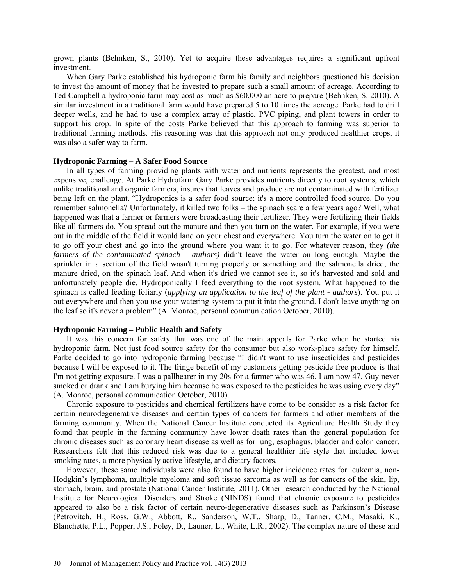grown plants (Behnken, S., 2010). Yet to acquire these advantages requires a significant upfront investment.

When Gary Parke established his hydroponic farm his family and neighbors questioned his decision to invest the amount of money that he invested to prepare such a small amount of acreage. According to Ted Campbell a hydroponic farm may cost as much as \$60,000 an acre to prepare (Behnken, S. 2010). A similar investment in a traditional farm would have prepared 5 to 10 times the acreage. Parke had to drill deeper wells, and he had to use a complex array of plastic, PVC piping, and plant towers in order to support his crop. In spite of the costs Parke believed that this approach to farming was superior to traditional farming methods. His reasoning was that this approach not only produced healthier crops, it was also a safer way to farm.

## **Hydroponic Farming – A Safer Food Source**

In all types of farming providing plants with water and nutrients represents the greatest, and most expensive, challenge. At Parke Hydrofarm Gary Parke provides nutrients directly to root systems, which unlike traditional and organic farmers, insures that leaves and produce are not contaminated with fertilizer being left on the plant. "Hydroponics is a safer food source; it's a more controlled food source. Do you remember salmonella? Unfortunately, it killed two folks – the spinach scare a few years ago? Well, what happened was that a farmer or farmers were broadcasting their fertilizer. They were fertilizing their fields like all farmers do. You spread out the manure and then you turn on the water. For example, if you were out in the middle of the field it would land on your chest and everywhere. You turn the water on to get it to go off your chest and go into the ground where you want it to go. For whatever reason, they *(the farmers of the contaminated spinach – authors)* didn't leave the water on long enough. Maybe the sprinkler in a section of the field wasn't turning properly or something and the salmonella dried, the manure dried, on the spinach leaf. And when it's dried we cannot see it, so it's harvested and sold and unfortunately people die. Hydroponically I feed everything to the root system. What happened to the spinach is called feeding foliarly (*applying an application to the leaf of the plant - authors*). You put it out everywhere and then you use your watering system to put it into the ground. I don't leave anything on the leaf so it's never a problem" (A. Monroe, personal communication October, 2010).

## **Hydroponic Farming – Public Health and Safety**

It was this concern for safety that was one of the main appeals for Parke when he started his hydroponic farm. Not just food source safety for the consumer but also work-place safety for himself. Parke decided to go into hydroponic farming because "I didn't want to use insecticides and pesticides because I will be exposed to it. The fringe benefit of my customers getting pesticide free produce is that I'm not getting exposure. I was a pallbearer in my 20s for a farmer who was 46. I am now 47. Guy never smoked or drank and I am burying him because he was exposed to the pesticides he was using every day" (A. Monroe, personal communication October, 2010).

Chronic exposure to pesticides and chemical fertilizers have come to be consider as a risk factor for certain neurodegenerative diseases and certain types of cancers for farmers and other members of the farming community. When the National Cancer Institute conducted its Agriculture Health Study they found that people in the farming community have lower death rates than the general population for chronic diseases such as coronary heart disease as well as for lung, esophagus, bladder and colon cancer. Researchers felt that this reduced risk was due to a general healthier life style that included lower smoking rates, a more physically active lifestyle, and dietary factors.

However, these same individuals were also found to have higher incidence rates for leukemia, non-Hodgkin's lymphoma, multiple myeloma and soft tissue sarcoma as well as for cancers of the skin, lip, stomach, brain, and prostate (National Cancer Institute, 2011). Other research conducted by the National Institute for Neurological Disorders and Stroke (NINDS) found that chronic exposure to pesticides appeared to also be a risk factor of certain neuro-degenerative diseases such as Parkinson's Disease (Petrovitch, H., Ross, G.W., Abbott, R., Sanderson, W.T., Sharp, D., Tanner, C.M., Masaki, K., Blanchette, P.L., Popper, J.S., Foley, D., Launer, L., White, L.R., 2002). The complex nature of these and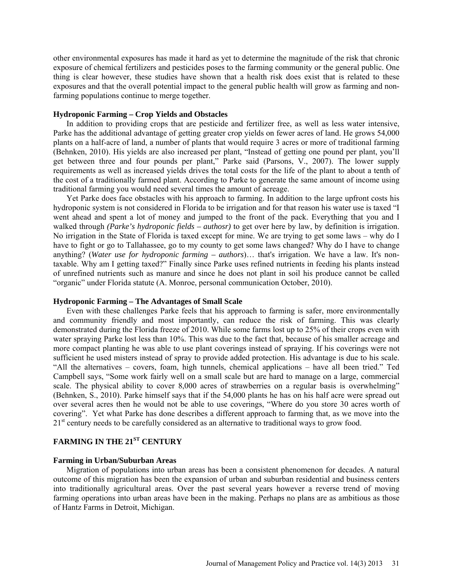other environmental exposures has made it hard as yet to determine the magnitude of the risk that chronic exposure of chemical fertilizers and pesticides poses to the farming community or the general public. One thing is clear however, these studies have shown that a health risk does exist that is related to these exposures and that the overall potential impact to the general public health will grow as farming and nonfarming populations continue to merge together.

## **Hydroponic Farming – Crop Yields and Obstacles**

In addition to providing crops that are pesticide and fertilizer free, as well as less water intensive, Parke has the additional advantage of getting greater crop yields on fewer acres of land. He grows 54,000 plants on a half-acre of land, a number of plants that would require 3 acres or more of traditional farming (Behnken, 2010). His yields are also increased per plant, "Instead of getting one pound per plant, you'll get between three and four pounds per plant," Parke said (Parsons, V., 2007). The lower supply requirements as well as increased yields drives the total costs for the life of the plant to about a tenth of the cost of a traditionally farmed plant. According to Parke to generate the same amount of income using traditional farming you would need several times the amount of acreage.

Yet Parke does face obstacles with his approach to farming. In addition to the large upfront costs his hydroponic system is not considered in Florida to be irrigation and for that reason his water use is taxed "I went ahead and spent a lot of money and jumped to the front of the pack. Everything that you and I walked through *(Parke's hydroponic fields – authosr)* to get over here by law, by definition is irrigation. No irrigation in the State of Florida is taxed except for mine. We are trying to get some laws – why do I have to fight or go to Tallahassee, go to my county to get some laws changed? Why do I have to change anything? (*Water use for hydroponic farming – authors*)… that's irrigation. We have a law. It's nontaxable. Why am I getting taxed?" Finally since Parke uses refined nutrients in feeding his plants instead of unrefined nutrients such as manure and since he does not plant in soil his produce cannot be called "organic" under Florida statute (A. Monroe, personal communication October, 2010).

## **Hydroponic Farming – The Advantages of Small Scale**

Even with these challenges Parke feels that his approach to farming is safer, more environmentally and community friendly and most importantly, can reduce the risk of farming. This was clearly demonstrated during the Florida freeze of 2010. While some farms lost up to 25% of their crops even with water spraying Parke lost less than 10%. This was due to the fact that, because of his smaller acreage and more compact planting he was able to use plant coverings instead of spraying. If his coverings were not sufficient he used misters instead of spray to provide added protection. His advantage is due to his scale. "All the alternatives – covers, foam, high tunnels, chemical applications – have all been tried." Ted Campbell says, "Some work fairly well on a small scale but are hard to manage on a large, commercial scale. The physical ability to cover 8,000 acres of strawberries on a regular basis is overwhelming" (Behnken, S., 2010). Parke himself says that if the 54,000 plants he has on his half acre were spread out over several acres then he would not be able to use coverings, "Where do you store 30 acres worth of covering". Yet what Parke has done describes a different approach to farming that, as we move into the 21<sup>st</sup> century needs to be carefully considered as an alternative to traditional ways to grow food.

# **FARMING IN THE 21ST CENTURY**

### **Farming in Urban/Suburban Areas**

Migration of populations into urban areas has been a consistent phenomenon for decades. A natural outcome of this migration has been the expansion of urban and suburban residential and business centers into traditionally agricultural areas. Over the past several years however a reverse trend of moving farming operations into urban areas have been in the making. Perhaps no plans are as ambitious as those of Hantz Farms in Detroit, Michigan.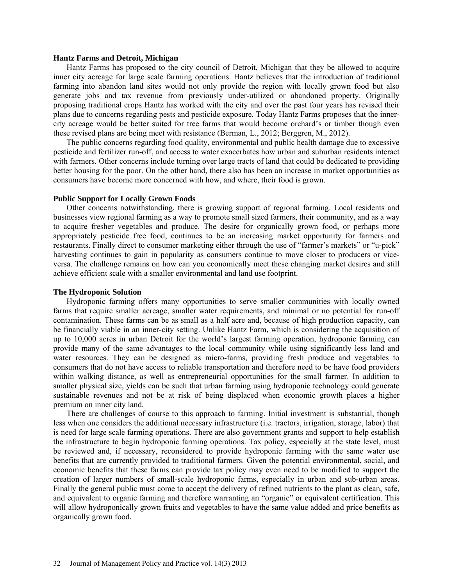## **Hantz Farms and Detroit, Michigan**

Hantz Farms has proposed to the city council of Detroit, Michigan that they be allowed to acquire inner city acreage for large scale farming operations. Hantz believes that the introduction of traditional farming into abandon land sites would not only provide the region with locally grown food but also generate jobs and tax revenue from previously under-utilized or abandoned property. Originally proposing traditional crops Hantz has worked with the city and over the past four years has revised their plans due to concerns regarding pests and pesticide exposure. Today Hantz Farms proposes that the innercity acreage would be better suited for tree farms that would become orchard's or timber though even these revised plans are being meet with resistance (Berman, L., 2012; Berggren, M., 2012).

The public concerns regarding food quality, environmental and public health damage due to excessive pesticide and fertilizer run-off, and access to water exacerbates how urban and suburban residents interact with farmers. Other concerns include turning over large tracts of land that could be dedicated to providing better housing for the poor. On the other hand, there also has been an increase in market opportunities as consumers have become more concerned with how, and where, their food is grown.

## **Public Support for Locally Grown Foods**

Other concerns notwithstanding, there is growing support of regional farming. Local residents and businesses view regional farming as a way to promote small sized farmers, their community, and as a way to acquire fresher vegetables and produce. The desire for organically grown food, or perhaps more appropriately pesticide free food, continues to be an increasing market opportunity for farmers and restaurants. Finally direct to consumer marketing either through the use of "farmer's markets" or "u-pick" harvesting continues to gain in popularity as consumers continue to move closer to producers or viceversa. The challenge remains on how can you economically meet these changing market desires and still achieve efficient scale with a smaller environmental and land use footprint.

#### **The Hydroponic Solution**

Hydroponic farming offers many opportunities to serve smaller communities with locally owned farms that require smaller acreage, smaller water requirements, and minimal or no potential for run-off contamination. These farms can be as small as a half acre and, because of high production capacity, can be financially viable in an inner-city setting. Unlike Hantz Farm, which is considering the acquisition of up to 10,000 acres in urban Detroit for the world's largest farming operation, hydroponic farming can provide many of the same advantages to the local community while using significantly less land and water resources. They can be designed as micro-farms, providing fresh produce and vegetables to consumers that do not have access to reliable transportation and therefore need to be have food providers within walking distance, as well as entrepreneurial opportunities for the small farmer. In addition to smaller physical size, yields can be such that urban farming using hydroponic technology could generate sustainable revenues and not be at risk of being displaced when economic growth places a higher premium on inner city land.

There are challenges of course to this approach to farming. Initial investment is substantial, though less when one considers the additional necessary infrastructure (i.e. tractors, irrigation, storage, labor) that is need for large scale farming operations. There are also government grants and support to help establish the infrastructure to begin hydroponic farming operations. Tax policy, especially at the state level, must be reviewed and, if necessary, reconsidered to provide hydroponic farming with the same water use benefits that are currently provided to traditional farmers. Given the potential environmental, social, and economic benefits that these farms can provide tax policy may even need to be modified to support the creation of larger numbers of small-scale hydroponic farms, especially in urban and sub-urban areas. Finally the general public must come to accept the delivery of refined nutrients to the plant as clean, safe, and equivalent to organic farming and therefore warranting an "organic" or equivalent certification. This will allow hydroponically grown fruits and vegetables to have the same value added and price benefits as organically grown food.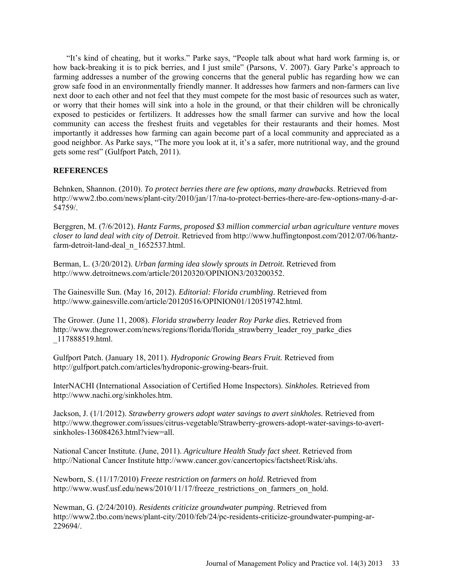"It's kind of cheating, but it works." Parke says, "People talk about what hard work farming is, or how back-breaking it is to pick berries, and I just smile" (Parsons, V. 2007). Gary Parke's approach to farming addresses a number of the growing concerns that the general public has regarding how we can grow safe food in an environmentally friendly manner. It addresses how farmers and non-farmers can live next door to each other and not feel that they must compete for the most basic of resources such as water, or worry that their homes will sink into a hole in the ground, or that their children will be chronically exposed to pesticides or fertilizers. It addresses how the small farmer can survive and how the local community can access the freshest fruits and vegetables for their restaurants and their homes. Most importantly it addresses how farming can again become part of a local community and appreciated as a good neighbor. As Parke says, "The more you look at it, it's a safer, more nutritional way, and the ground gets some rest" (Gulfport Patch, 2011).

## **REFERENCES**

Behnken, Shannon. (2010). *To protect berries there are few options, many drawbacks*. Retrieved from http://www2.tbo.com/news/plant-city/2010/jan/17/na-to-protect-berries-there-are-few-options-many-d-ar-54759/.

Berggren, M. (7/6/2012). *Hantz Farms, proposed \$3 million commercial urban agriculture venture moves closer to land deal with city of Detroit*. Retrieved from [http://www.huffingtonpost.com/2012/07/06/hantz](http://www.huffingtonpost.com/2012/07/06/hantz-farm-detroit-land-deal_n_1652537.html)[farm-detroit-land-deal\\_n\\_1652537.html.](http://www.huffingtonpost.com/2012/07/06/hantz-farm-detroit-land-deal_n_1652537.html)

Berman, L. (3/20/2012). *Urban farming idea slowly sprouts in Detroit.* Retrieved from http://www.detroitnews.com/article/20120320/OPINION3/203200352.

The Gainesville Sun. (May 16, 2012). *Editorial: Florida crumbling*. Retrieved from [http://www.gainesville.com/article/20120516/OPINION01/120519742.html.](http://www.gainesville.com/article/20120516/OPINION01/120519742.html)

The Grower. (June 11, 2008). *Florida strawberry leader Roy Parke dies.* Retrieved from http://www.thegrower.com/news/regions/florida/florida\_strawberry\_leader\_roy\_parke\_dies \_117888519.html.

Gulfport Patch. (January 18, 2011). *Hydroponic Growing Bears Fruit.* Retrieved from [http://gulfport.patch.com/articles/hydroponic-growing-bears-fruit.](http://gulfport.patch.com/articles/hydroponic-growing-bears-fruit)

InterNACHI (International Association of Certified Home Inspectors). *Sinkholes.* Retrieved from http://www.nachi.org/sinkholes.htm.

Jackson, J. (1/1/2012). *Strawberry growers adopt water savings to avert sinkholes.* Retrieved from http://www.thegrower.com/issues/citrus-vegetable/Strawberry-growers-adopt-water-savings-to-avertsinkholes-136084263.html?view=all

National Cancer Institute. (June, 2011). *Agriculture Health Study fact sheet*. Retrieved from http://National Cancer Institute http://www.cancer.gov/cancertopics/factsheet/Risk/ahs.

Newborn, S. (11/17/2010) *Freeze restriction on farmers on hold*. Retrieved from http://www.wusf.usf.edu/news/2010/11/17/freeze\_restrictions\_on\_farmers\_on\_hold.

Newman, G. (2/24/2010). *Residents criticize groundwater pumping*. Retrieved from http://www2.tbo.com/news/plant-city/2010/feb/24/pc-residents-criticize-groundwater-pumping-ar-229694/.